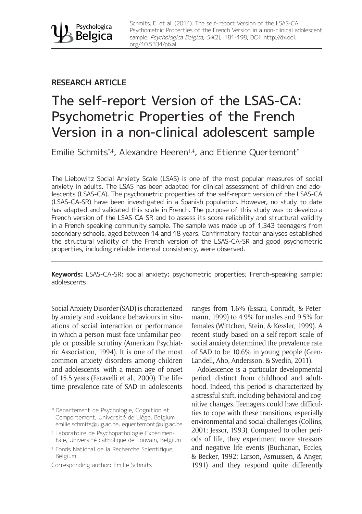

Schmits, E. et al. (2014). The self-report Version of the LSAS-CA: Psychometric Properties of the French Version in a non-clinical adolescent sample. Psychologica Belgica, 54(2), 181-198, DOI: [http://dx.doi.](http://dx.doi.org/10.5334/pb.al) [org/10.5334/pb.al](http://dx.doi.org/10.5334/pb.al)

## **RESEARCH ARTICLE**

# The self-report Version of the LSAS-CA: Psychometric Properties of the French Version in a non-clinical adolescent sample

Emilie Schmits<sup>\*,‡</sup>, Alexandre Heeren<sup>t,‡</sup>, and Etienne Quertemont<sup>\*</sup>

The Liebowitz Social Anxiety Scale (LSAS) is one of the most popular measures of social anxiety in adults. The LSAS has been adapted for clinical assessment of children and adolescents (LSAS-CA). The psychometric properties of the self-report version of the LSAS-CA (LSAS-CA-SR) have been investigated in a Spanish population. However, no study to date has adapted and validated this scale in French. The purpose of this study was to develop a French version of the LSAS-CA-SR and to assess its score reliability and structural validity in a French-speaking community sample. The sample was made up of 1,343 teenagers from secondary schools, aged between 14 and 18 years. Confirmatory factor analyses established the structural validity of the French version of the LSAS-CA-SR and good psychometric properties, including reliable internal consistency, were observed.

**Keywords:** LSAS-CA-SR; social anxiety; psychometric properties; French-speaking sample; adolescents

Social Anxiety Disorder (SAD) is characterized by anxiety and avoidance behaviours in situations of social interaction or performance in which a person must face unfamiliar people or possible scrutiny (American Psychiatric Association, 1994). It is one of the most common anxiety disorders among children and adolescents, with a mean age of onset of 15.5 years (Faravelli et al., 2000). The lifetime prevalence rate of SAD in adolescents

Corresponding author: Emilie Schmits

ranges from 1.6% (Essau, Conradt, & Petermann, 1999) to 4.9% for males and 9.5% for females (Wittchen, Stein, & Kessler, 1999). A recent study based on a self-report scale of social anxiety determined the prevalence rate of SAD to be 10.6% in young people (Gren-Landell, Aho, Andersson, & Svedin, 2011).

Adolescence is a particular developmental period, distinct from childhood and adulthood. Indeed, this period is characterized by a stressful shift, including behavioral and cognitive changes. Teenagers could have difficulties to cope with these transitions, especially environmental and social challenges (Collins, 2001; Jessor, 1993). Compared to other periods of life, they experiment more stressors and negative life events (Buchanan, Eccles, & Becker, 1992; Larson, Asmussen, & Anger, 1991) and they respond quite differently

<sup>\*</sup> Département de Psychologie, Cognition et Comportement, Université de Liège, Belgium [emilie.schmits@ulg.ac.be](mailto:emilie.schmits@ulg.ac.be), [equertemont@ulg.ac.be](mailto:equertemont@ulg.ac.be)

<sup>†</sup> Laboratoire de Psychopathologie Expérimentale, Université catholique de Louvain, Belgium

<sup>‡</sup> Fonds National de la Recherche Scientifique, Belgium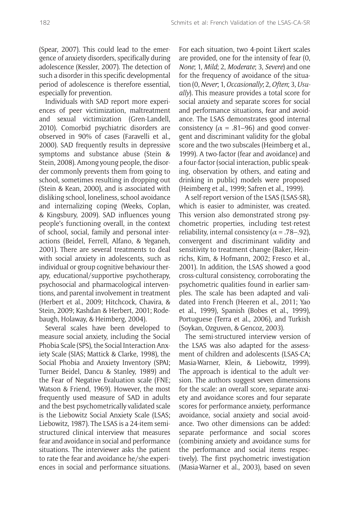(Spear, 2007). This could lead to the emergence of anxiety disorders, specifically during adolescence (Kessler, 2007). The detection of such a disorder in this specific developmental period of adolescence is therefore essential, especially for prevention.

Individuals with SAD report more experiences of peer victimization, maltreatment and sexual victimization (Gren-Landell, 2010). Comorbid psychiatric disorders are observed in 90% of cases (Faravelli et al., 2000). SAD frequently results in depressive symptoms and substance abuse (Stein & Stein, 2008). Among young people, the disorder commonly prevents them from going to school, sometimes resulting in dropping out (Stein & Kean, 2000), and is associated with disliking school, loneliness, school avoidance and internalizing coping (Weeks, Coplan, & Kingsbury, 2009). SAD influences young people's functioning overall, in the context of school, social, family and personal interactions (Beidel, Ferrell, Alfano, & Yeganeh, 2001). There are several treatments to deal with social anxiety in adolescents, such as individual or group cognitive behaviour therapy, educational/supportive psychotherapy, psychosocial and pharmacological interventions, and parental involvement in treatment (Herbert et al., 2009; Hitchcock, Chavira, & Stein, 2009; Kashdan & Herbert, 2001; Rodebaugh, Holaway, & Heimberg, 2004).

Several scales have been developed to measure social anxiety, including the Social Phobia Scale (SPS), the Social Interaction Anxiety Scale (SIAS; Mattick & Clarke, 1998), the Social Phobia and Anxiety Inventory (SPAI; Turner Beidel, Dancu & Stanley, 1989) and the Fear of Negative Evaluation scale (FNE; Watson & Friend, 1969). However, the most frequently used measure of SAD in adults and the best psychometrically validated scale is the Liebowitz Social Anxiety Scale (LSAS; Liebowitz, 1987). The LSAS is a 24-item semistructured clinical interview that measures fear and avoidance in social and performance situations. The interviewer asks the patient to rate the fear and avoidance he/she experiences in social and performance situations. For each situation, two 4-point Likert scales are provided, one for the intensity of fear (0, *None*; 1, *Mild*; 2, *Moderate*; 3, *Severe*) and one for the frequency of avoidance of the situation (0, *Never*; 1, *Occasionally*; 2, *Often*; 3, *Usually*). This measure provides a total score for social anxiety and separate scores for social and performance situations, fear and avoidance. The LSAS demonstrates good internal consistency ( $\alpha = .81 - .96$ ) and good convergent and discriminant validity for the global score and the two subscales (Heimberg et al., 1999). A two-factor (fear and avoidance) and a four-factor (social interaction, public speaking, observation by others, and eating and drinking in public) models were proposed (Heimberg et al., 1999; Safren et al., 1999).

A self-report version of the LSAS (LSAS-SR), which is easier to administer, was created. This version also demonstrated strong psychometric properties, including test-retest reliability, internal consistency ( $\alpha$  = .78–.92), convergent and discriminant validity and sensitivity to treatment change (Baker, Heinrichs, Kim, & Hofmann, 2002; Fresco et al., 2001). In addition, the LSAS showed a good cross-cultural consistency, corroborating the psychometric qualities found in earlier samples. The scale has been adapted and validated into French (Heeren et al., 2011; Yao et al., 1999), Spanish (Bobes et al., 1999), Portuguese (Terra et al., 2006), and Turkish (Soykan, Ozguven, & Gencoz, 2003).

The semi-structured interview version of the LSAS was also adapted for the assessment of children and adolescents (LSAS-CA; Masia-Warner, Klein, & Liebowitz, 1999). The approach is identical to the adult version. The authors suggest seven dimensions for the scale: an overall score, separate anxiety and avoidance scores and four separate scores for performance anxiety, performance avoidance, social anxiety and social avoidance. Two other dimensions can be added: separate performance and social scores (combining anxiety and avoidance sums for the performance and social items respectively). The first psychometric investigation (Masia-Warner et al., 2003), based on seven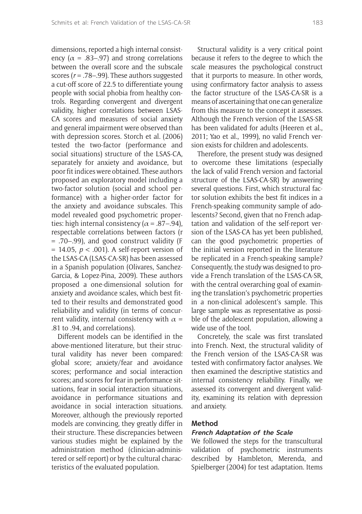dimensions, reported a high internal consistency ( $\alpha$  = .83–.97) and strong correlations between the overall score and the subscale scores (*r* = .78–.99). These authors suggested a cut-off score of 22.5 to differentiate young people with social phobia from healthy controls. Regarding convergent and divergent validity, higher correlations between LSAS-CA scores and measures of social anxiety and general impairment were observed than with depression scores. Storch et al. (2006) tested the two-factor (performance and social situations) structure of the LSAS-CA, separately for anxiety and avoidance, but poor fit indices were obtained. These authors proposed an exploratory model including a two-factor solution (social and school performance) with a higher-order factor for the anxiety and avoidance subscales. This model revealed good psychometric properties: high internal consistency ( $\alpha$  = .87–.94). respectable correlations between factors (r = .70–.99), and good construct validity (F = 14.05, *p* < .001). A self-report version of the LSAS-CA (LSAS-CA-SR) has been assessed in a Spanish population (Olivares, Sanchez-Garcia, & Lopez-Pina, 2009). These authors proposed a one-dimensional solution for anxiety and avoidance scales, which best fitted to their results and demonstrated good reliability and validity (in terms of concurrent validity, internal consistency with  $\alpha$  = .81 to .94, and correlations).

Different models can be identified in the above-mentioned literature, but their structural validity has never been compared: global score; anxiety/fear and avoidance scores; performance and social interaction scores; and scores for fear in performance situations, fear in social interaction situations, avoidance in performance situations and avoidance in social interaction situations. Moreover, although the previously reported models are convincing, they greatly differ in their structure. These discrepancies between various studies might be explained by the administration method (clinician-administered or self-report) or by the cultural characteristics of the evaluated population.

Structural validity is a very critical point because it refers to the degree to which the scale measures the psychological construct that it purports to measure. In other words, using confirmatory factor analysis to assess the factor structure of the LSAS-CA-SR is a means of ascertaining that one can generalize from this measure to the concept it assesses. Although the French version of the LSAS-SR has been validated for adults (Heeren et al., 2011; Yao et al., 1999), no valid French version exists for children and adolescents.

Therefore, the present study was designed to overcome these limitations (especially the lack of valid French version and factorial structure of the LSAS-CA-SR) by answering several questions. First, which structural factor solution exhibits the best fit indices in a French-speaking community sample of adolescents? Second, given that no French adaptation and validation of the self-report version of the LSAS-CA has yet been published, can the good psychometric properties of the initial version reported in the literature be replicated in a French-speaking sample? Consequently, the study was designed to provide a French translation of the LSAS-CA-SR, with the central overarching goal of examining the translation's psychometric properties in a non-clinical adolescent's sample. This large sample was as representative as possible of the adolescent population, allowing a wide use of the tool.

Concretely, the scale was first translated into French. Next, the structural validity of the French version of the LSAS-CA-SR was tested with confirmatory factor analyses. We then examined the descriptive statistics and internal consistency reliability. Finally, we assessed its convergent and divergent validity, examining its relation with depression and anxiety.

#### **Method**

#### **French Adaptation of the Scale**

We followed the steps for the transcultural validation of psychometric instruments described by Hambleton, Merenda, and Spielberger (2004) for test adaptation. Items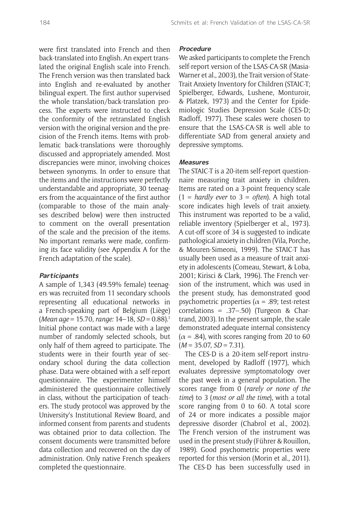were first translated into French and then back-translated into English. An expert translated the original English scale into French. The French version was then translated back into English and re-evaluated by another bilingual expert. The first author supervised the whole translation/back-translation process. The experts were instructed to check the conformity of the retranslated English version with the original version and the precision of the French items. Items with problematic back-translations were thoroughly discussed and appropriately amended. Most discrepancies were minor, involving choices between synonyms. In order to ensure that the items and the instructions were perfectly understandable and appropriate, 30 teenagers from the acquaintance of the first author (comparable to those of the main analyses described below) were then instructed to comment on the overall presentation of the scale and the precision of the items. No important remarks were made, confirming its face validity (see Appendix A for the French adaptation of the scale).

### **Participants**

A sample of 1,343 (49.59% female) teenagers was recruited from 11 secondary schools representing all educational networks in a French-speaking part of Belgium (Liège) (*Mean age* = 15.70, *range:* 14–18, *SD* = 0.88).1 Initial phone contact was made with a large number of randomly selected schools, but only half of them agreed to participate. The students were in their fourth year of secondary school during the data collection phase. Data were obtained with a self-report questionnaire. The experimenter himself administered the questionnaire collectively in class, without the participation of teachers. The study protocol was approved by the University's Institutional Review Board, and informed consent from parents and students was obtained prior to data collection. The consent documents were transmitted before data collection and recovered on the day of administration. Only native French speakers completed the questionnaire.

#### **Procedure**

We asked participants to complete the French self-report version of the LSAS-CA-SR (Masia-Warner et al., 2003), the Trait version of State-Trait Anxiety Inventory for Children (STAIC-T; Spielberger, Edwards, Lushene, Monturoir, & Platzek, 1973) and the Center for Epidemiologic Studies Depression Scale (CES-D; Radloff, 1977). These scales were chosen to ensure that the LSAS-CA-SR is well able to differentiate SAD from general anxiety and depressive symptoms.

#### **Measures**

The STAIC-T is a 20-item self-report questionnaire measuring trait anxiety in children. Items are rated on a 3-point frequency scale (1 = *hardly ever* to 3 = *often*). A high total score indicates high levels of trait anxiety. This instrument was reported to be a valid, reliable inventory (Spielberger et al., 1973). A cut-off score of 34 is suggested to indicate pathological anxiety in children (Vila, Porche, & Mouren-Simeoni, 1999). The STAIC-T has usually been used as a measure of trait anxiety in adolescents (Comeau, Stewart, & Loba, 2001; Kirisci & Clark, 1996). The French version of the instrument, which was used in the present study, has demonstrated good psychometric properties ( $\alpha$  = .89; test-retest correlations = .37–.50) (Turgeon & Chartrand, 2003). In the present sample, the scale demonstrated adequate internal consistency  $(\alpha = .84)$ , with scores ranging from 20 to 60 (*M* = 35.07, *SD* = 7.31).

The CES-D is a 20-item self-report instrument, developed by Radloff (1977), which evaluates depressive symptomatology over the past week in a general population. The scores range from 0 (*rarely or none of the time*) to 3 (*most or all the time*), with a total score ranging from 0 to 60. A total score of 24 or more indicates a possible major depressive disorder (Chabrol et al., 2002). The French version of the instrument was used in the present study (Führer & Rouillon, 1989). Good psychometric properties were reported for this version (Morin et al., 2011). The CES-D has been successfully used in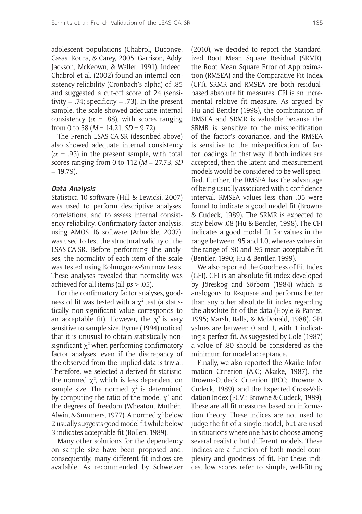adolescent populations (Chabrol, Duconge, Casas, Roura, & Carey, 2005; Garrison, Addy, Jackson, McKeown, & Waller, 1991). Indeed, Chabrol et al. (2002) found an internal consistency reliability (Cronbach's alpha) of .85 and suggested a cut-off score of 24 (sensitivity = .74; specificity = .73). In the present sample, the scale showed adequate internal consistency ( $\alpha$  = .88), with scores ranging from 0 to 58 (*M* = 14.21, *SD* = 9.72).

The French LSAS-CA-SR (described above) also showed adequate internal consistency  $(\alpha = .93)$  in the present sample, with total scores ranging from 0 to 112 (*M* = 27.73, *SD*   $= 19.79$ ).

#### **Data Analysis**

Statistica 10 software (Hill & Lewicki, 2007) was used to perform descriptive analyses, correlations, and to assess internal consistency reliability. Confirmatory factor analysis, using AMOS 16 software (Arbuckle, 2007), was used to test the structural validity of the LSAS-CA-SR. Before performing the analyses, the normality of each item of the scale was tested using Kolmogorov-Smirnov tests. These analyses revealed that normality was achieved for all items (all *ps* > .05).

For the confirmatory factor analyses, goodness of fit was tested with a  $\chi^2$  test (a statistically non-significant value corresponds to an acceptable fit). However, the  $\chi^2$  is very sensitive to sample size. Byrne (1994) noticed that it is unusual to obtain statistically nonsignificant  $\chi^2$  when performing confirmatory factor analyses, even if the discrepancy of the observed from the implied data is trivial. Therefore, we selected a derived fit statistic, the normed  $\chi^2$ , which is less dependent on sample size. The normed  $\chi^2$  is determined by computing the ratio of the model  $\chi^2$  and the degrees of freedom (Wheaton, Muthén, Alwin, & Summers, 1977). A normed  $\chi^2$  below 2 usually suggests good model fit while below 3 indicates acceptable fit (Bollen, 1989).

Many other solutions for the dependency on sample size have been proposed and, consequently, many different fit indices are available. As recommended by Schweizer

(2010), we decided to report the Standardized Root Mean Square Residual (SRMR), the Root Mean Square Error of Approximation (RMSEA) and the Comparative Fit Index (CFI). SRMR and RMSEA are both residualbased absolute fit measures. CFI is an incremental relative fit measure. As argued by Hu and Bentler (1998), the combination of RMSEA and SRMR is valuable because the SRMR is sensitive to the misspecification of the factor's covariance, and the RMSEA is sensitive to the misspecification of factor loadings. In that way, if both indices are accepted, then the latent and measurement models would be considered to be well specified. Further, the RMSEA has the advantage of being usually associated with a confidence interval. RMSEA values less than .05 were found to indicate a good model fit (Browne & Cudeck, 1989). The SRMR is expected to stay below .08 (Hu & Bentler, 1998). The CFI indicates a good model fit for values in the range between .95 and 1.0, whereas values in the range of .90 and .95 mean acceptable fit (Bentler, 1990; Hu & Bentler, 1999).

We also reported the Goodness of Fit Index (GFI). GFI is an absolute fit index developed by Jöreskog and Sörbom (1984) which is analogous to R-square and performs better than any other absolute fit index regarding the absolute fit of the data (Hoyle & Panter, 1995; Marsh, Balla, & McDonald, 1988). GFI values are between 0 and 1, with 1 indicating a perfect fit. As suggested by Cole (1987) a value of .80 should be considered as the minimum for model acceptance.

Finally, we also reported the Akaike Information Criterion (AIC; Akaike, 1987), the Browne-Cudeck Criterion (BCC; Browne & Cudeck, 1989), and the Expected Cross-Validation Index (ECVI; Browne & Cudeck, 1989). These are all fit measures based on information theory. These indices are not used to judge the fit of a single model, but are used in situations where one has to choose among several realistic but different models. These indices are a function of both model complexity and goodness of fit. For these indices, low scores refer to simple, well-fitting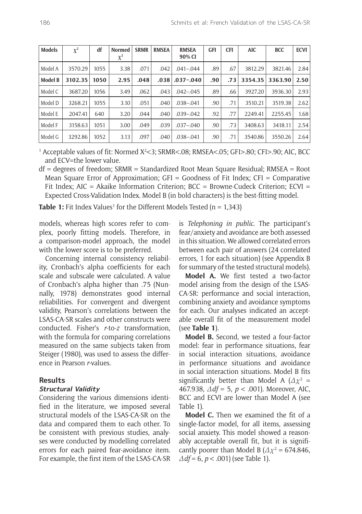| <b>Models</b>  | $\chi^2$ | df   | <b>Normed</b><br>$\chi^2$ | <b>SRMR</b> | <b>RMSEA</b> | <b>RMSEA</b><br>90% CI | <b>GFI</b> | <b>CFI</b> | <b>AIC</b> | <b>BCC</b> | ECVI <sup>1</sup> |
|----------------|----------|------|---------------------------|-------------|--------------|------------------------|------------|------------|------------|------------|-------------------|
| Model A        | 3570.29  | 1055 | 3.38                      | .071        | .042         | $.041 - .044$          | .89        | .67        | 3812.29    | 3821.46    | 2.84              |
| <b>Model B</b> | 3102.35  | 1050 | 2.95                      | .048        | .038         | $.037 - .040$          | .90        | .73        | 3354.35    | 3363.90    | 2.50              |
| Model C        | 3687.20  | 1056 | 3.49                      | .062        | .043         | $.042 - .045$          | .89        | .66        | 3927.20    | 3936.30    | 2.93              |
| Model D        | 3268.21  | 1055 | 3.10                      | .051        | .040         | $.038 - .041$          | .90        | .71        | 3510.21    | 3519.38    | 2.62              |
| Model E        | 2047.41  | 640  | 3.20                      | .044        | .040         | $.039 - .042$          | .92        | .77        | 2249.41    | 2255.45    | 1.68              |
| Model F        | 3158.63  | 1051 | 3.00                      | .049        | .039         | $.037 - .040$          | .90        | .73        | 3408.63    | 3418.11    | 2.54              |
| Model G        | 3292.86  | 1052 | 3.13                      | .097        | .040         | $.038 - .041$          | .90        | .71        | 3540.86    | 3550.26    | 2.64              |

<sup>1</sup> Acceptable values of fit: Normed X<sup>2</sup><3; SRMR<.08; RMSEA<.05; GFI>.80; CFI>.90; AIC, BCC and ECV=the lower value.

df = degrees of freedom; SRMR = Standardized Root Mean Square Residual; RMSEA = Root Mean Square Error of Approximation;  $GFI = Goodness$  of Fit Index;  $CFI = Comparative$ Fit Index; AIC = Akaike Information Criterion; BCC = Browne-Cudeck Criterion; ECVI = Expected Cross-Validation Index. Model B (in bold characters) is the best-fitting model.

**Table 1:** Fit Index Values<sup>1</sup> for the Different Models Tested (n = 1,343)

models, whereas high scores refer to complex, poorly fitting models. Therefore, in a comparison-model approach, the model with the lower score is to be preferred.

Concerning internal consistency reliability, Cronbach's alpha coefficients for each scale and subscale were calculated. A value of Cronbach's alpha higher than .75 (Nunnally, 1978) demonstrates good internal reliabilities. For convergent and divergent validity, Pearson's correlations between the LSAS-CA-SR scales and other constructs were conducted. Fisher's *r*-to-*z* transformation, with the formula for comparing correlations measured on the same subjects taken from Steiger (1980), was used to assess the difference in Pearson *r*-values.

#### **Results**

#### **Structural Validity**

Considering the various dimensions identified in the literature, we imposed several structural models of the LSAS-CA-SR on the data and compared them to each other. To be consistent with previous studies, analyses were conducted by modelling correlated errors for each paired fear-avoidance item. For example, the first item of the LSAS-CA-SR is *Telephoning in public*. The participant's fear/anxiety and avoidance are both assessed in this situation. We allowed correlated errors between each pair of answers (24 correlated errors, 1 for each situation) (see Appendix B for summary of the tested structural models).

**Model A.** We first tested a two-factor model arising from the design of the LSAS-CA-SR: performance and social interaction, combining anxiety and avoidance symptoms for each. Our analyses indicated an acceptable overall fit of the measurement model (see **Table 1**).

**Model B.** Second, we tested a four-factor model: fear in performance situations, fear in social interaction situations, avoidance in performance situations and avoidance in social interaction situations. Model B fits significantly better than Model A  $(\Delta x^2 =$ 467.938, *Δdf* = 5, *p* < .001). Moreover, AIC, BCC and ECVI are lower than Model A (see Table 1).

**Model C.** Then we examined the fit of a single-factor model, for all items, assessing social anxiety. This model showed a reasonably acceptable overall fit, but it is significantly poorer than Model B ( $\Delta \chi^2$  = 674.846, *Δdf* = 6, *p* < .001) (see Table 1).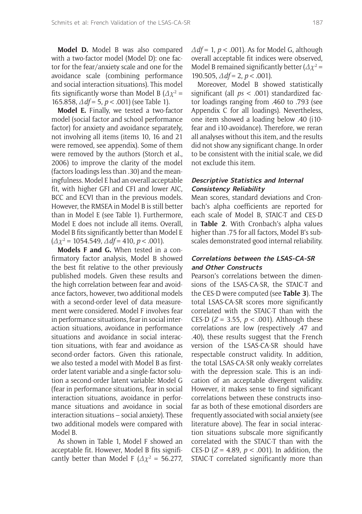**Model D.** Model B was also compared with a two-factor model (Model D): one factor for the fear/anxiety scale and one for the avoidance scale (combining performance and social interaction situations). This model fits significantly worse than Model B ( $\Delta x^2$  = 165.858, *Δdf* = 5, *p* < .001) (see Table 1).

**Model E.** Finally, we tested a two-factor model (social factor and school performance factor) for anxiety and avoidance separately, not involving all items (items 10, 16 and 21 were removed, see appendix). Some of them were removed by the authors (Storch et al., 2006) to improve the clarity of the model (factors loadings less than .30) and the meaningfulness. Model E had an overall acceptable fit, with higher GFI and CFI and lower AIC, BCC and ECVI than in the previous models. However, the RMSEA in Model B is still better than in Model E (see Table 1). Furthermore, Model E does not include all items. Overall, Model B fits significantly better than Model E  $(\Delta \chi^2 = 1054.549, \Delta df = 410, p < .001).$ 

**Models F and G.** When tested in a confirmatory factor analysis, Model B showed the best fit relative to the other previously published models. Given these results and the high correlation between fear and avoidance factors, however, two additional models with a second-order level of data measurement were considered. Model F involves fear in performance situations, fear in social interaction situations, avoidance in performance situations and avoidance in social interaction situations, with fear and avoidance as second-order factors. Given this rationale, we also tested a model with Model B as firstorder latent variable and a single-factor solution a second-order latent variable: Model G (fear in performance situations, fear in social interaction situations, avoidance in performance situations and avoidance in social interaction situations – social anxiety). These two additional models were compared with Model B.

As shown in Table 1, Model F showed an acceptable fit. However, Model B fits significantly better than Model F  $(\Delta \chi^2 = 56.277,$  *Δdf* = 1, *p* < .001). As for Model G, although overall acceptable fit indices were observed, Model B remained significantly better ( $\varDelta\chi^2$  = 190.505, *Δdf* = 2, *p* < .001).

Moreover, Model B showed statistically significant (all *ps* < .001) standardized factor loadings ranging from .460 to .793 (see Appendix C for all loadings). Nevertheless, one item showed a loading below .40 (i10 fear and i10-avoidance). Therefore, we reran all analyses without this item, and the results did not show any significant change. In order to be consistent with the initial scale, we did not exclude this item.

#### **Descriptive Statistics and Internal Consistency Reliability**

Mean scores, standard deviations and Cronbach's alpha coefficients are reported for each scale of Model B, STAIC-T and CES-D in **Table 2**. With Cronbach's alpha values higher than .75 for all factors, Model B's subscales demonstrated good internal reliability.

#### **Correlations between the LSAS-CA-SR and Other Constructs**

Pearson's correlations between the dimensions of the LSAS-CA-SR, the STAIC-T and the CES-D were computed (see **Table 3**). The total LSAS-CA-SR scores more significantly correlated with the STAIC-T than with the CES-D ( $Z = 3.55$ ,  $p < .001$ ). Although these correlations are low (respectively .47 and .40), these results suggest that the French version of the LSAS-CA-SR should have respectable construct validity. In addition, the total LSAS-CA-SR only weakly correlates with the depression scale. This is an indication of an acceptable divergent validity. However, it makes sense to find significant correlations between these constructs insofar as both of these emotional disorders are frequently associated with social anxiety (see literature above). The fear in social interaction situations subscale more significantly correlated with the STAIC-T than with the CES-D ( $Z = 4.89$ ,  $p < .001$ ). In addition, the STAIC-T correlated significantly more than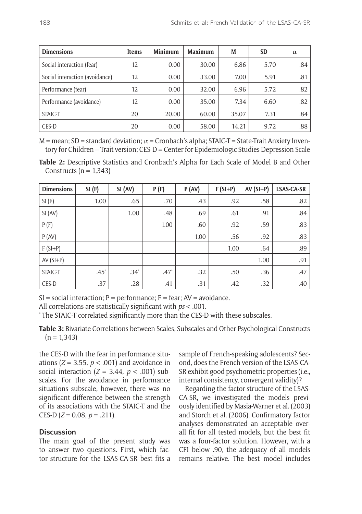| <b>Dimensions</b>              | <b>Items</b> | <b>Minimum</b> | <b>Maximum</b> | M     | <b>SD</b> | $\alpha$ |
|--------------------------------|--------------|----------------|----------------|-------|-----------|----------|
| Social interaction (fear)      | 12           | 0.00           | 30.00          | 6.86  | 5.70      | .84      |
| Social interaction (avoidance) | 12           | 0.00           | 33.00          | 7.00  | 5.91      | .81      |
| Performance (fear)             | 12           | 0.00           | 32.00          | 6.96  | 5.72      | .82      |
| Performance (avoidance)        | 12           | 0.00           | 35.00          | 7.34  | 6.60      | .82      |
| STAIC-T                        | 20           | 20.00          | 60.00          | 35.07 | 7.31      | .84      |
| CES-D                          | 20           | 0.00           | 58.00          | 14.21 | 9.72      | .88      |

M = mean; SD = standard deviation;  $\alpha$  = Cronbach's alpha; STAIC-T = State-Trait Anxiety Inventory for Children – Trait version; CES-D = Center for Epidemiologic Studies Depression Scale

**Table 2:** Descriptive Statistics and Cronbach's Alpha for Each Scale of Model B and Other Constructs ( $n = 1,343$ )

| <b>Dimensions</b> | SI(F)   | SI (AV)   | P(F)    | P (AV) | $F(SI+P)$ | $AV(SI+P)$ | LSAS-CA-SR |
|-------------------|---------|-----------|---------|--------|-----------|------------|------------|
| SI(F)             | 1.00    | .65       | .70     | .43    | .92       | .58        | .82        |
| SI (AV)           |         | 1.00      | .48     | .69    | .61       | .91        | .84        |
| P(F)              |         |           | 1.00    | .60    | .92       | .59        | .83        |
| P (AV)            |         |           |         | 1.00   | .56       | .92        | .83        |
| $F(SI+P)$         |         |           |         |        | 1.00      | .64        | .89        |
| $AV(SI+P)$        |         |           |         |        |           | 1.00       | .91        |
| STAIC-T           | $.45^*$ | $.34^{*}$ | $.47^*$ | .32    | .50       | .36        | .47        |
| CES-D             | .37     | .28       | .41     | .31    | .42       | .32        | .40        |

 $SI = social interaction$ ;  $P = performance$ ;  $F = fear$ ;  $AV = avoidance$ .

All correlations are statistically significant with *ps* < .001. \*

The STAIC-T correlated significantly more than the CES-D with these subscales.

**Table 3:** Bivariate Correlations between Scales, Subscales and Other Psychological Constructs  $(n = 1,343)$ 

the CES-D with the fear in performance situations ( $Z = 3.55$ ,  $p < .001$ ) and avoidance in social interaction  $(Z = 3.44, p < .001)$  subscales. For the avoidance in performance situations subscale, however, there was no significant difference between the strength of its associations with the STAIC-T and the CES-D  $(Z = 0.08, p = .211)$ .

#### **Discussion**

The main goal of the present study was to answer two questions. First, which factor structure for the LSAS-CA-SR best fits a sample of French-speaking adolescents? Second, does the French version of the LSAS-CA-SR exhibit good psychometric properties (i.e., internal consistency, convergent validity)?

Regarding the factor structure of the LSAS-CA-SR, we investigated the models previously identified by Masia-Warner et al. (2003) and Storch et al. (2006). Confirmatory factor analyses demonstrated an acceptable overall fit for all tested models, but the best fit was a four-factor solution. However, with a CFI below .90, the adequacy of all models remains relative. The best model includes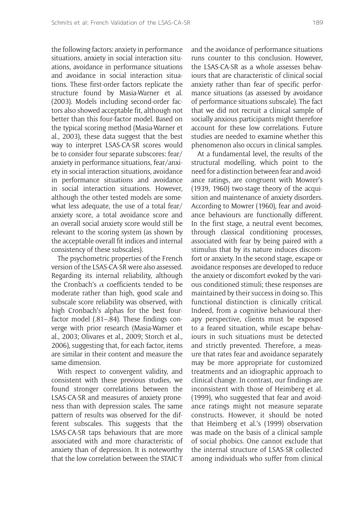the following factors: anxiety in performance situations, anxiety in social interaction situations, avoidance in performance situations and avoidance in social interaction situations. These first-order factors replicate the structure found by Masia-Warner et al. (2003). Models including second-order factors also showed acceptable fit, although not better than this four-factor model. Based on the typical scoring method (Masia-Warner et al., 2003), these data suggest that the best way to interpret LSAS-CA-SR scores would be to consider four separate subscores: fear/ anxiety in performance situations, fear/anxiety in social interaction situations, avoidance in performance situations and avoidance in social interaction situations. However, although the other tested models are somewhat less adequate, the use of a total fear/ anxiety score, a total avoidance score and an overall social anxiety score would still be relevant to the scoring system (as shown by the acceptable overall fit indices and internal consistency of these subscales).

The psychometric properties of the French version of the LSAS-CA-SR were also assessed. Regarding its internal reliability, although the Cronbach's  $\alpha$  coefficients tended to be moderate rather than high, good scale and subscale score reliability was observed, with high Cronbach's alphas for the best fourfactor model (.81–.84). These findings converge with prior research (Masia-Warner et al., 2003; Olivares et al., 2009; Storch et al., 2006), suggesting that, for each factor, items are similar in their content and measure the same dimension.

With respect to convergent validity, and consistent with these previous studies, we found stronger correlations between the LSAS-CA-SR and measures of anxiety proneness than with depression scales. The same pattern of results was observed for the different subscales. This suggests that the LSAS-CA-SR taps behaviours that are more associated with and more characteristic of anxiety than of depression. It is noteworthy that the low correlation between the STAIC-T and the avoidance of performance situations runs counter to this conclusion. However, the LSAS-CA-SR as a whole assesses behaviours that are characteristic of clinical social anxiety rather than fear of specific performance situations (as assessed by avoidance of performance situations subscale). The fact that we did not recruit a clinical sample of socially anxious participants might therefore account for these low correlations. Future studies are needed to examine whether this phenomenon also occurs in clinical samples.

At a fundamental level, the results of the structural modelling, which point to the need for a distinction between fear and avoidance ratings, are congruent with Mowrer's (1939, 1960) two-stage theory of the acquisition and maintenance of anxiety disorders. According to Mowrer (1960), fear and avoidance behaviours are functionally different. In the first stage, a neutral event becomes, through classical conditioning processes, associated with fear by being paired with a stimulus that by its nature induces discomfort or anxiety. In the second stage, escape or avoidance responses are developed to reduce the anxiety or discomfort evoked by the various conditioned stimuli; these responses are maintained by their success in doing so. This functional distinction is clinically critical. Indeed, from a cognitive behavioural therapy perspective, clients must be exposed to a feared situation, while escape behaviours in such situations must be detected and strictly prevented. Therefore, a measure that rates fear and avoidance separately may be more appropriate for customized treatments and an idiographic approach to clinical change. In contrast, our findings are inconsistent with those of Heimberg et al. (1999), who suggested that fear and avoidance ratings might not measure separate constructs. However, it should be noted that Heimberg et al.'s (1999) observation was made on the basis of a clinical sample of social phobics. One cannot exclude that the internal structure of LSAS-SR collected among individuals who suffer from clinical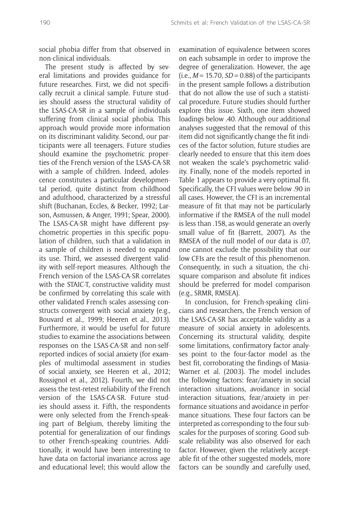social phobia differ from that observed in non-clinical individuals.

The present study is affected by several limitations and provides guidance for future researches. First, we did not specifically recruit a clinical sample. Future studies should assess the structural validity of the LSAS-CA-SR in a sample of individuals suffering from clinical social phobia. This approach would provide more information on its discriminant validity. Second, our participants were all teenagers. Future studies should examine the psychometric properties of the French version of the LSAS-CA-SR with a sample of children. Indeed, adolescence constitutes a particular developmental period, quite distinct from childhood and adulthood, characterized by a stressful shift (Buchanan, Eccles, & Becker, 1992; Larson, Asmussen, & Anger, 1991; Spear, 2000). The LSAS-CA-SR might have different psychometric properties in this specific population of children, such that a validation in a sample of children is needed to expand its use. Third, we assessed divergent validity with self-report measures. Although the French version of the LSAS-CA-SR correlates with the STAIC-T, constructive validity must be confirmed by correlating this scale with other validated French scales assessing constructs convergent with social anxiety (e.g., Bouvard et al., 1999; Heeren et al., 2013). Furthermore, it would be useful for future studies to examine the associations between responses on the LSAS-CA-SR and non-selfreported indices of social anxiety (for examples of multimodal assessment in studies of social anxiety, see Heeren et al., 2012; Rossignol et al., 2012). Fourth, we did not assess the test-retest reliability of the French version of the LSAS-CA-SR. Future studies should assess it. Fifth, the respondents were only selected from the French-speaking part of Belgium, thereby limiting the potential for generalization of our findings to other French-speaking countries. Additionally, it would have been interesting to have data on factorial invariance across age and educational level; this would allow the

examination of equivalence between scores on each subsample in order to improve the degree of generalization. However, the age  $(i.e.,  $M = 15.70$ ,  $SD = 0.88$ ) of the participants$ in the present sample follows a distribution that do not allow the use of such a statistical procedure. Future studies should further explore this issue. Sixth, one item showed loadings below .40. Although our additional analyses suggested that the removal of this item did not significantly change the fit indices of the factor solution, future studies are clearly needed to ensure that this item does not weaken the scale's psychometric validity. Finally, none of the models reported in Table 1 appears to provide a very optimal fit. Specifically, the CFI values were below .90 in all cases. However, the CFI is an incremental measure of fit that may not be particularly informative if the RMSEA of the null model is less than .158, as would generate an overly small value of fit (Barrett, 2007). As the RMSEA of the null model of our data is .07, one cannot exclude the possibility that our low CFIs are the result of this phenomenon. Consequently, in such a situation, the chisquare comparison and absolute fit indices should be preferred for model comparison (e.g., SRMR, RMSEA).

In conclusion, for French-speaking clinicians and researchers, the French version of the LSAS-CA-SR has acceptable validity as a measure of social anxiety in adolescents. Concerning its structural validity, despite some limitations, confirmatory factor analyses point to the four-factor model as the best fit, corroborating the findings of Masia-Warner et al. (2003). The model includes the following factors: fear/anxiety in social interaction situations, avoidance in social interaction situations, fear/anxiety in performance situations and avoidance in performance situations. These four factors can be interpreted as corresponding to the four subscales for the purposes of scoring. Good subscale reliability was also observed for each factor. However, given the relatively acceptable fit of the other suggested models, more factors can be soundly and carefully used,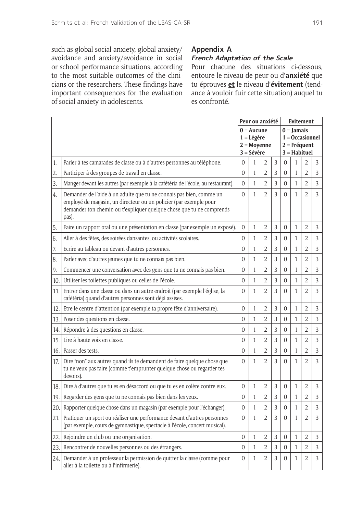such as global social anxiety, global anxiety/ avoidance and anxiety/avoidance in social or school performance situations, according to the most suitable outcomes of the clinicians or the researchers. These findings have important consequences for the evaluation of social anxiety in adolescents.

#### **Appendix A**

#### **French Adaptation of the Scale**

Pour chacune des situations ci-dessous, entoure le niveau de peur ou d'**anxiété** que tu éprouves **et** le niveau d'**évitement** (tendance à vouloir fuir cette situation) auquel tu es confronté.

|       |                                                                                                                                                                                                                           |                |              | Peur ou anxiété |   | <b>Evitement</b> |              |                   |                |
|-------|---------------------------------------------------------------------------------------------------------------------------------------------------------------------------------------------------------------------------|----------------|--------------|-----------------|---|------------------|--------------|-------------------|----------------|
|       |                                                                                                                                                                                                                           |                | $0 =$ Aucune |                 |   |                  | $0 =$ Jamais |                   |                |
|       |                                                                                                                                                                                                                           |                | $1 = Légère$ |                 |   |                  |              | $1 = Occasionnel$ |                |
|       |                                                                                                                                                                                                                           |                |              | $2 = Moyenne$   |   |                  |              | $2 = Fréquent$    |                |
|       |                                                                                                                                                                                                                           | $3 = Sévère$   |              |                 |   | 3 = Habituel     |              |                   |                |
| 1.    | Parler à tes camarades de classe ou à d'autres personnes au téléphone.                                                                                                                                                    | $\Omega$       | 1            | $\overline{2}$  | 3 | $\Omega$         | 1            | 2                 | 3              |
| 2.    | Participer à des groupes de travail en classe.                                                                                                                                                                            | $\Omega$       | $\mathbf{1}$ | $\overline{2}$  | 3 | $\Omega$         | $\mathbf{1}$ | $\overline{2}$    | 3              |
| 3.    | Manger devant les autres (par exemple à la cafétéria de l'école, au restaurant).                                                                                                                                          | $\overline{0}$ | $\mathbf{1}$ | $\overline{2}$  | 3 | $\overline{0}$   | 1            | $\overline{2}$    | 3              |
| 4.    | Demander de l'aide à un adulte que tu ne connais pas bien, comme un<br>employé de magasin, un directeur ou un policier (par exemple pour<br>demander ton chemin ou t'expliquer quelque chose que tu ne comprends<br>pas). | $\Omega$       | 1            | $\overline{2}$  | 3 | $\Omega$         | 1            | $\overline{2}$    | 3              |
| 5.    | Faire un rapport oral ou une présentation en classe (par exemple un exposé).                                                                                                                                              | $\overline{0}$ | $\mathbf{1}$ | $\overline{2}$  | 3 | 0                | 1            | $\overline{2}$    | 3              |
| 6.    | Aller à des fêtes, des soirées dansantes, ou activités scolaires.                                                                                                                                                         | $\Omega$       | $\mathbf{1}$ | $\overline{2}$  | 3 | $\Omega$         | 1            | $\overline{2}$    | 3              |
| 7.    | Ecrire au tableau ou devant d'autres personnes.                                                                                                                                                                           | $\Omega$       | $\mathbf{1}$ | $\overline{2}$  | 3 | $\Omega$         | $\mathbf{1}$ | $\overline{2}$    | 3              |
| 8.    | Parler avec d'autres jeunes que tu ne connais pas bien.                                                                                                                                                                   | $\overline{0}$ | $\mathbf{1}$ | $\overline{2}$  | 3 | $\overline{0}$   | 1            | $\overline{2}$    | $\overline{3}$ |
| 9.    | Commencer une conversation avec des gens que tu ne connais pas bien.                                                                                                                                                      | $\Omega$       | $\mathbf{1}$ | $\overline{2}$  | 3 | $\overline{0}$   | 1            | $\overline{2}$    | $\overline{3}$ |
| 10.   | Utiliser les toilettes publiques ou celles de l'école.                                                                                                                                                                    | $\overline{0}$ | $\mathbf{1}$ | $\overline{2}$  | 3 | $\overline{0}$   | 1            | $\overline{2}$    | 3              |
| 11.1  | Entrer dans une classe ou dans un autre endroit (par exemple l'église, la<br>cafétéria) quand d'autres personnes sont déjà assises.                                                                                       | $\Omega$       | $\mathbf{1}$ | $\overline{2}$  | 3 | $\Omega$         | 1            | $\overline{2}$    | 3              |
| 12.   | Etre le centre d'attention (par exemple ta propre fête d'anniversaire).                                                                                                                                                   | $\overline{0}$ | $\mathbf{1}$ | $\overline{2}$  | 3 | $\overline{0}$   | 1            | $\overline{2}$    | 3              |
| 13.   | Poser des questions en classe.                                                                                                                                                                                            | $\overline{0}$ | $\mathbf{1}$ | $\overline{2}$  | 3 | $\overline{0}$   | $\mathbf{1}$ | $\overline{2}$    | 3              |
| 14.   | Répondre à des questions en classe.                                                                                                                                                                                       | $\overline{0}$ | $\mathbf{1}$ | $\overline{2}$  | 3 | $\overline{0}$   | 1            | $\overline{2}$    | 3              |
| 15.   | Lire à haute voix en classe.                                                                                                                                                                                              | $\Omega$       | $\mathbf{1}$ | $\overline{2}$  | 3 | $\Omega$         | 1            | $\overline{2}$    | 3              |
| 16.   | Passer des tests.                                                                                                                                                                                                         | $\Omega$       | $\mathbf{1}$ | $\overline{2}$  | 3 | $\Omega$         | 1            | $\overline{2}$    | 3              |
| 17.1  | Dire "non" aux autres quand ils te demandent de faire quelque chose que<br>tu ne veux pas faire (comme t'emprunter quelque chose ou regarder tes<br>devoirs).                                                             | $\overline{0}$ | $\mathbf{1}$ | $\overline{2}$  | 3 | $\overline{0}$   | 1            | $\overline{2}$    | 3              |
| 18. l | Dire à d'autres que tu es en désaccord ou que tu es en colère contre eux.                                                                                                                                                 | $\Omega$       | 1            | $\overline{2}$  | 3 | $\overline{0}$   | $\mathbf{1}$ | $\overline{2}$    | 3              |
| 19.   | Regarder des gens que tu ne connais pas bien dans les yeux.                                                                                                                                                               | $\Omega$       | 1            | $\overline{2}$  | 3 | $\Omega$         | 1            | $\overline{2}$    | 3              |
| 20.   | Rapporter quelque chose dans un magasin (par exemple pour l'échanger).                                                                                                                                                    | $\overline{0}$ | $\mathbf{1}$ | $\overline{2}$  | 3 | 0                | 1            | $\overline{2}$    | 3              |
| 21.   | Pratiquer un sport ou réaliser une performance devant d'autres personnes<br>(par exemple, cours de gymnastique, spectacle à l'école, concert musical).                                                                    | $\overline{0}$ | $\mathbf{1}$ | $\overline{2}$  | 3 | $\overline{0}$   | 1            | $\overline{2}$    | 3              |
| 22.   | Rejoindre un club ou une organisation.                                                                                                                                                                                    | $\overline{0}$ | $\mathbf{1}$ | $\overline{2}$  | 3 | $\overline{0}$   | 1            | $\overline{2}$    | 3              |
| 23.   | Rencontrer de nouvelles personnes ou des étrangers.                                                                                                                                                                       | $\overline{0}$ | $\mathbf{1}$ | $\overline{2}$  | 3 | $\overline{0}$   | 1            | $\overline{2}$    | 3              |
| 24. l | Demander à un professeur la permission de quitter la classe (comme pour<br>aller à la toilette ou à l'infirmerie).                                                                                                        | $\overline{0}$ | $\mathbf{1}$ | 2               | 3 | 0                | 1            | 2                 | 3              |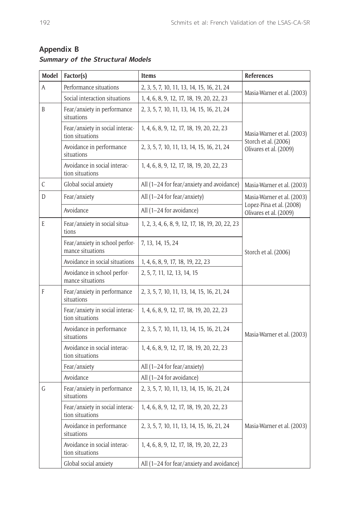| Model                                                                             | Factor(s)                                          | <b>Items</b>                                    | <b>References</b>                                  |  |  |  |
|-----------------------------------------------------------------------------------|----------------------------------------------------|-------------------------------------------------|----------------------------------------------------|--|--|--|
| A                                                                                 | Performance situations                             | 2, 3, 5, 7, 10, 11, 13, 14, 15, 16, 21, 24      |                                                    |  |  |  |
|                                                                                   | Social interaction situations                      | 1, 4, 6, 8, 9, 12, 17, 18, 19, 20, 22, 23       | Masia-Warner et al. (2003)                         |  |  |  |
| B                                                                                 | Fear/anxiety in performance<br>situations          | 2, 3, 5, 7, 10, 11, 13, 14, 15, 16, 21, 24      |                                                    |  |  |  |
|                                                                                   | Fear/anxiety in social interac-<br>tion situations | 1, 4, 6, 8, 9, 12, 17, 18, 19, 20, 22, 23       | Masia-Warner et al. (2003)<br>Storch et al. (2006) |  |  |  |
|                                                                                   | Avoidance in performance<br>situations             | 2, 3, 5, 7, 10, 11, 13, 14, 15, 16, 21, 24      | Olivares et al. (2009)                             |  |  |  |
|                                                                                   | Avoidance in social interac-<br>tion situations    | 1, 4, 6, 8, 9, 12, 17, 18, 19, 20, 22, 23       |                                                    |  |  |  |
| C                                                                                 | Global social anxiety                              | All (1-24 for fear/anxiety and avoidance)       | Masia-Warner et al. (2003)                         |  |  |  |
| D                                                                                 | Fear/anxiety                                       | All (1-24 for fear/anxiety)                     | Masia-Warner et al. (2003)                         |  |  |  |
|                                                                                   | Avoidance                                          | All (1-24 for avoidance)                        | Lopez-Pina et al. (2008)<br>Olivares et al. (2009) |  |  |  |
| E                                                                                 | Fear/anxiety in social situa-<br>tions             | 1, 2, 3, 4, 6, 8, 9, 12, 17, 18, 19, 20, 22, 23 |                                                    |  |  |  |
|                                                                                   | Fear/anxiety in school perfor-<br>mance situations | 7, 13, 14, 15, 24                               | Storch et al. (2006)                               |  |  |  |
| Avoidance in social situations<br>Avoidance in school perfor-<br>mance situations |                                                    | 1, 4, 6, 8, 9, 17, 18, 19, 22, 23               |                                                    |  |  |  |
|                                                                                   |                                                    | 2, 5, 7, 11, 12, 13, 14, 15                     |                                                    |  |  |  |
| F                                                                                 | Fear/anxiety in performance<br>situations          | 2, 3, 5, 7, 10, 11, 13, 14, 15, 16, 21, 24      |                                                    |  |  |  |
|                                                                                   | Fear/anxiety in social interac-<br>tion situations | 1, 4, 6, 8, 9, 12, 17, 18, 19, 20, 22, 23       |                                                    |  |  |  |
|                                                                                   | Avoidance in performance<br>situations             | 2, 3, 5, 7, 10, 11, 13, 14, 15, 16, 21, 24      | Masia-Warner et al. (2003)                         |  |  |  |
|                                                                                   | Avoidance in social interac-<br>tion situations    | 1, 4, 6, 8, 9, 12, 17, 18, 19, 20, 22, 23       |                                                    |  |  |  |
|                                                                                   | Fear/anxiety                                       | All (1-24 for fear/anxiety)                     |                                                    |  |  |  |
|                                                                                   | Avoidance                                          | All (1-24 for avoidance)                        |                                                    |  |  |  |
| G                                                                                 | Fear/anxiety in performance<br>situations          | 2, 3, 5, 7, 10, 11, 13, 14, 15, 16, 21, 24      |                                                    |  |  |  |
|                                                                                   | Fear/anxiety in social interac-<br>tion situations | 1, 4, 6, 8, 9, 12, 17, 18, 19, 20, 22, 23       | Masia-Warner et al. (2003)                         |  |  |  |
|                                                                                   | Avoidance in performance<br>situations             | 2, 3, 5, 7, 10, 11, 13, 14, 15, 16, 21, 24      |                                                    |  |  |  |
|                                                                                   | Avoidance in social interac-<br>tion situations    | 1, 4, 6, 8, 9, 12, 17, 18, 19, 20, 22, 23       |                                                    |  |  |  |
| Global social anxiety                                                             |                                                    | All (1-24 for fear/anxiety and avoidance)       |                                                    |  |  |  |

## **Appendix B Summary of the Structural Models**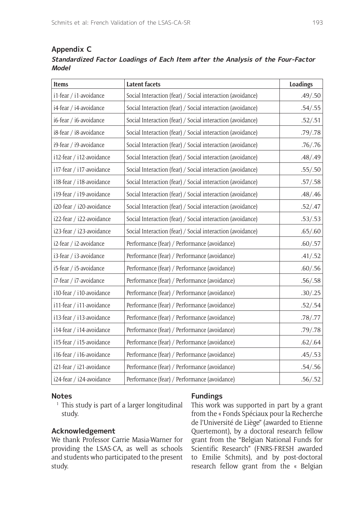## **Appendix C Standardized Factor Loadings of Each Item after the Analysis of the Four-Factor Model**

| <b>Items</b>             | <b>Latent facets</b>                                       | <b>Loadings</b> |
|--------------------------|------------------------------------------------------------|-----------------|
| i1-fear / i1-avoidance   | Social Interaction (fear) / Social interaction (avoidance) | .49/.50         |
| i4-fear / i4-avoidance   | Social Interaction (fear) / Social interaction (avoidance) | .54/.55         |
| i6-fear / i6-avoidance   | Social Interaction (fear) / Social interaction (avoidance) | .52/.51         |
| i8-fear / i8-avoidance   | Social Interaction (fear) / Social interaction (avoidance) | .79/.78         |
| i9-fear / i9-avoidance   | Social Interaction (fear) / Social interaction (avoidance) | .76/.76         |
| i12-fear / i12-avoidance | Social Interaction (fear) / Social interaction (avoidance) | .48/.49         |
| i17-fear / i17-avoidance | Social Interaction (fear) / Social interaction (avoidance) | .55/.50         |
| i18-fear / i18-avoidance | Social Interaction (fear) / Social interaction (avoidance) | .57/.58         |
| i19-fear / i19-avoidance | Social Interaction (fear) / Social interaction (avoidance) | .48/.46         |
| i20-fear / i20-avoidance | Social Interaction (fear) / Social interaction (avoidance) | .52/.47         |
| i22-fear / i22-avoidance | Social Interaction (fear) / Social interaction (avoidance) | .53/.53         |
| i23-fear / i23-avoidance | Social Interaction (fear) / Social interaction (avoidance) | .65/.60         |
| i2-fear / i2-avoidance   | Performance (fear) / Performance (avoidance)               | .60/.57         |
| i3-fear / i3-avoidance   | Performance (fear) / Performance (avoidance)               | .41/.52         |
| i5-fear / i5-avoidance   | Performance (fear) / Performance (avoidance)               | .60/.56         |
| i7-fear / i7-avoidance   | Performance (fear) / Performance (avoidance)               | .56/.58         |
| i10-fear / i10-avoidance | Performance (fear) / Performance (avoidance)               | .30/.25         |
| i11-fear / i11-avoidance | Performance (fear) / Performance (avoidance)               | .52/.54         |
| i13-fear / i13-avoidance | Performance (fear) / Performance (avoidance)               | .78/.77         |
| i14-fear / i14-avoidance | Performance (fear) / Performance (avoidance)               | .79/.78         |
| i15-fear / i15-avoidance | Performance (fear) / Performance (avoidance)               | .62/.64         |
| i16-fear / i16-avoidance | Performance (fear) / Performance (avoidance)               | .45/.53         |
| i21-fear / i21-avoidance | Performance (fear) / Performance (avoidance)               | .54/.56         |
| i24-fear / i24-avoidance | Performance (fear) / Performance (avoidance)               | .56/.52         |

#### **Notes**

<sup>1</sup> This study is part of a larger longitudinal study.

### **Acknowledgement**

We thank Professor Carrie Masia-Warner for providing the LSAS-CA, as well as schools and students who participated to the present study.

#### **Fundings**

This work was supported in part by a grant from the « Fonds Spéciaux pour la Recherche de l'Université de Liège" (awarded to Etienne Quertemont), by a doctoral research fellow grant from the "Belgian National Funds for Scientific Research" (FNRS-FRESH awarded to Emilie Schmits), and by post-doctoral research fellow grant from the « Belgian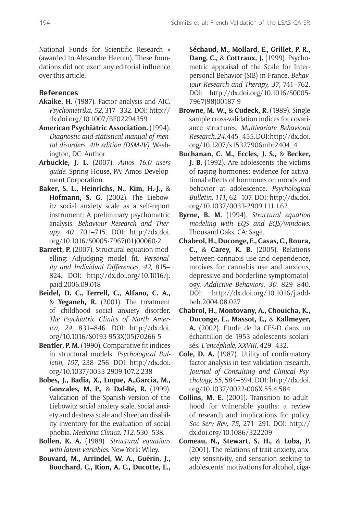National Funds for Scientific Research » (awarded to Alexandre Heeren). These foundations did not exert any editorial influence over this article.

#### **References**

- **Akaike, H.** (1987). Factor analysis and AIC. *Psychometrika, 52*, 317–332. DOI: [http://](http://dx.doi.org/10.1007/BF02294359) [dx.doi.org/10.1007/BF02294359](http://dx.doi.org/10.1007/BF02294359)
- **American Psychiatric Association.** (1994). *Diagnostic and statistical manual of mental disorders, 4th edition (DSM-IV)*. Washington, DC: Author.
- **Arbuckle, J. L.** (2007). *Amos 16.0 users guide*. Spring House, PA: Amos Development Corporation.
- **Baker, S. L., Heinrichs, N., Kim, H.-J.,** & **Hofmann, S. G.** (2002). The Liebowitz social anxiety scale as a self-report instrument: A preliminary psychometric analysis. *Behaviour Research and Therapy, 40*, 701–715. DOI: [http://dx.doi.](http://dx.doi.org/10.1016/S0005-7967(01)00060-2) [org/10.1016/S0005-7967\(01\)00060-2](http://dx.doi.org/10.1016/S0005-7967(01)00060-2)
- **Barrett, P.** (2007). Structural equation modelling: Adjudging model fit. *Personality and Individual Differences, 42*, 815– 824. DOI: [http://dx.doi.org/10.1016/j.](http://dx.doi.org/10.1016/j.paid.2006.09.018) [paid.2006.09.018](http://dx.doi.org/10.1016/j.paid.2006.09.018)
- **Beidel, D. C., Ferrell, C., Alfano, C. A.,** & **Yeganeh, R.** (2001). The treatment of childhood social anxiety disorder. *The Psychiatric Clinics of North America, 24*, 831–846. DOI: [http://dx.doi.](http://dx.doi.org/10.1016/S0193-953X(05)70266-5) [org/10.1016/S0193-953X\(05\)70266-5](http://dx.doi.org/10.1016/S0193-953X(05)70266-5)
- **Bentler, P. M.** (1990). Comparative fit indices in structural models. *Psychological Bulletin, 107*, 238–256. DOI: [http://dx.doi.](http://dx.doi.org/10.1037/0033-2909.107.2.238) [org/10.1037/0033-2909.107.2.238](http://dx.doi.org/10.1037/0033-2909.107.2.238)
- **Bobes, J., Badia, X., Luque, A.,Garcia, M., Gonzales, M. P.,** & **Dal-Ré, R.** (1999). Validation of the Spanish version of the Liebowitz social anxiety scale, social anxiety and destress scale and Sheehan disability inventory for the evaluation of social phobia. *Medicina Clinica, 112*, 530–538.
- **Bollen, K. A.** (1989). *Structural equations with latent variables*. New York: Wiley.
- **Bouvard, M., Arrindel, W. A., Guérin, J., Bouchard, C., Rion, A. C., Ducotte, E.,**

**Séchaud, M., Mollard, E., Grillet, P. R., Dang, C.,** & **Cottraux, J.** (1999). Psychometric appraisal of the Scale for Interpersonal Behavior (SIB) in France. *Behaviour Research and Therapy, 37*, 741–762. DOI: [http://dx.doi.org/10.1016/S0005-](http://dx.doi.org/10.1016/S0005-7967(98)00187-9) [7967\(98\)00187-9](http://dx.doi.org/10.1016/S0005-7967(98)00187-9)

- **Browne, M. W.,** & **Cudeck, R.** (1989). Single sample cross-validation indices for covariance structures. *Multivariate Behavioral Research, 24*, 445–455. DOI: [http://dx.doi.](http://dx.doi.org/10.1207/s15327906mbr2404_4) [org/10.1207/s15327906mbr2404\\_4](http://dx.doi.org/10.1207/s15327906mbr2404_4)
- **Buchanan, C. M., Eccles, J. S.,** & **Becker, J. B.** (1992). Are adolescents the victims of raging hormones: evidence for activational effects of hormones on moods and behavior at adolescence. *Psychological Bulletin, 111*, 62–107. DOI: [http://dx.doi.](http://dx.doi.org/10.1037/0033-2909.111.1.62) [org/10.1037/0033-2909.111.1.62](http://dx.doi.org/10.1037/0033-2909.111.1.62)
- **Byrne, B. M.** (1994). *Structural equation modeling with EQS and EQS/windows*. Thousand Oaks, CA: Sage.
- **Chabrol, H., Duconge, E., Casas, C., Roura, C.,** & **Carey, K. B.** (2005). Relations between cannabis use and dependence, motives for cannabis use and anxious, depressive and borderline symptomatology. *Addictive Behaviors, 30*, 829–840. DOI: [http://dx.doi.org/10.1016/j.add](http://dx.doi.org/10.1016/j.addbeh.2004.08.027)[beh.2004.08.027](http://dx.doi.org/10.1016/j.addbeh.2004.08.027)
- **Chabrol, H., Montovany, A., Chouicha, K., Duconge, E., Massot, E.,** & **Kallmeyer, A.** (2002). Etude de la CES-D dans un échantillon de 1953 adolescents scolarisés. *L'encéphale, XXVIII*, 429–432.
- **Cole, D. A.** (1987). Utility of confirmatory factor analysis in test validation research. *Journal of Consulting and Clinical Psychology, 55*, 584–594. DOI: [http://dx.doi.](http://dx.doi.org/10.1037/0022-006X.55.4.584) [org/10.1037/0022-006X.55.4.584](http://dx.doi.org/10.1037/0022-006X.55.4.584)
- **Collins, M. E.** (2001). Transition to adulthood for vulnerable youths: a review of research and implications for policy. *Soc Serv Rev, 75*, 271–291. DOI: [http://](http://dx.doi.org/10.1086/322209) [dx.doi.org/10.1086/322209](http://dx.doi.org/10.1086/322209)
- **Comeau, N., Stewart, S. H.,** & **Loba, P.** (2001). The relations of trait anxiety, anxiety sensitivity, and sensation seeking to adolescents' motivations for alcohol, ciga-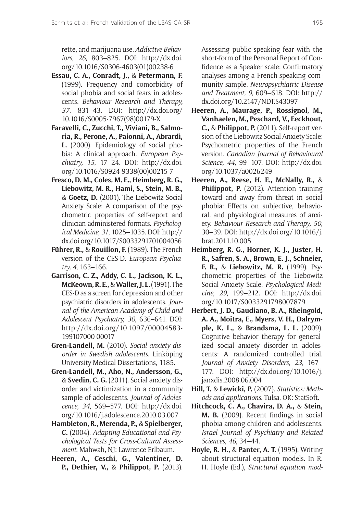rette, and marijuana use. *Addictive Behaviors, 26*, 803–825. DOI: [http://dx.doi.](http://dx.doi.org/10.1016/S0306-4603(01)00238-6) [org/10.1016/S0306-4603\(01\)00238-6](http://dx.doi.org/10.1016/S0306-4603(01)00238-6)

- **Essau, C. A., Conradt, J.,** & **Petermann, F.** (1999). Frequency and comorbidity of social phobia and social fears in adolescents. *Behaviour Research and Therapy, 37*, 831–43. DOI: [http://dx.doi.org/](http://dx.doi.org/10.1016/S0005-7967(98)00179-X) [10.1016/S0005-7967\(98\)00179-X](http://dx.doi.org/10.1016/S0005-7967(98)00179-X)
- **Faravelli, C., Zucchi, T., Viviani, B., Salmoria, R., Perone, A., Paionni, A., Abrardi, L.** (2000). Epidemiology of social phobia: A clinical approach. *European Psychiatry, 15*, 17–24. DOI: [http://dx.doi.](http://dx.doi.org/10.1016/S0924-9338(00)00215-7) [org/10.1016/S0924-9338\(00\)00215-7](http://dx.doi.org/10.1016/S0924-9338(00)00215-7)
- **Fresco, D. M., Coles, M. E., Heimberg, R. G., Liebowitz, M. R., Hami, S., Stein, M. B.,** & **Goetz, D.** (2001). The Liebowitz Social Anxiety Scale: A comparison of the psychometric properties of self-report and clinician-administered formats. *Psychological Medicine, 31*, 1025–1035. DOI: [http://](http://dx.doi.org/10.1017/S0033291701004056) [dx.doi.org/10.1017/S0033291701004056](http://dx.doi.org/10.1017/S0033291701004056)
- **Führer, R.,** & **Rouillon, F.** (1989). The French version of the CES-D. *European Psychiatry, 4*, 163–166.
- **Garrison, C. Z., Addy, C. L., Jackson, K. L., McKeown, R. E.,** & **Waller, J. L.** (1991). The CES-D as a screen for depression and other psychiatric disorders in adolescents. *Journal of the American Academy of Child and Adolescent Psychiatry, 30*, 636–641. DOI: [http://dx.doi.org/10.1097/00004583-](http://dx.doi.org/10.1097/00004583-199107000-00017) [199107000-00017](http://dx.doi.org/10.1097/00004583-199107000-00017)
- **Gren-Landell, M.** (2010). *Social anxiety disorder in Swedish adolescents*. Linköping University Medical Dissertations, 1185.
- **Gren-Landell, M., Aho, N., Andersson, G.,** & **Svedin, C. G.** (2011). Social anxiety disorder and victimization in a community sample of adolescents. *Journal of Adolescence, 34*, 569–577. DOI: [http://dx.doi.](http://dx.doi.org/10.1016/j.adolescence.2010.03.007) [org/10.1016/j.adolescence.2010.03.007](http://dx.doi.org/10.1016/j.adolescence.2010.03.007)
- **Hambleton, R., Merenda, P.,** & **Spielberger, C.** (2004). *Adapting Educational and Psychological Tests for Cross-Cultural Assessment*. Mahwah, NJ: Lawrence Erlbaum.
- **Heeren, A., Ceschi, G., Valentiner, D. P., Dethier, V.,** & **Philippot, P.** (2013).

Assessing public speaking fear with the short-form of the Personal Report of Confidence as a Speaker scale: Confirmatory analyses among a French-speaking community sample. *Neuropsychiatric Disease and Treatment, 9*, 609–618. DOI: [http://](http://dx.doi.org/10.2147/NDT.S43097) [dx.doi.org/10.2147/NDT.S43097](http://dx.doi.org/10.2147/NDT.S43097)

- **Heeren, A., Maurage, P., Rossignol, M., Vanhaelen, M., Peschard, V., Eeckhout, C.,** & **Philippot, P.** (2011). Self-report version of the Liebowitz Social Anxiety Scale: Psychometric properties of the French version. *Canadian Journal of Behavioural Science, 44*, 99–107. DOI: [http://dx.doi.](http://dx.doi.org/10.1037/a0026249) [org/10.1037/a0026249](http://dx.doi.org/10.1037/a0026249)
- **Heeren, A., Reese, H. E., McNally, R.,** & **Philippot, P.** (2012). Attention training toward and away from threat in social phobia: Effects on subjective, behavioral, and physiological measures of anxiety. *Behaviour Research and Therapy, 50*, 30–39. DOI: [http://dx.doi.org/10.1016/j.](http://dx.doi.org/10.1016/j.brat.2011.10.005) [brat.2011.10.005](http://dx.doi.org/10.1016/j.brat.2011.10.005)
- **Heimberg, R. G., Horner, K. J., Juster, H. R., Safren, S. A., Brown, E. J., Schneier, F. R.,** & **Liebowitz, M. R.** (1999). Psychometric properties of the Liebowitz Social Anxiety Scale. *Psychological Medicine, 29*, 199–212. DOI: [http://dx.doi.](http://dx.doi.org/10.1017/S0033291798007879) [org/10.1017/S0033291798007879](http://dx.doi.org/10.1017/S0033291798007879)
- **Herbert, J. D., Gaudiano, B. A., Rheingold, A. A., Moitra, E., Myers, V. H., Dalrymple, K. L.,** & **Brandsma, L. L.** (2009). Cognitive behavior therapy for generalized social anxiety disorder in adolescents: A randomized controlled trial. *Journal of Anxiety Disorders, 23*, 167– 177. DOI: [http://dx.doi.org/10.1016/j.](http://dx.doi.org/10.1016/j.janxdis.2008.06.004) [janxdis.2008.06.004](http://dx.doi.org/10.1016/j.janxdis.2008.06.004)
- **Hill, T.** & **Lewicki, P.** (2007). *Statistics: Methods and applications*. Tulsa, OK: StatSoft.
- **Hitchcock, C. A., Chavira, D. A.,** & **Stein, M. B.** (2009). Recent findings in social phobia among children and adolescents. *Israel Journal of Psychiatry and Related Sciences, 46*, 34–44.
- **Hoyle, R. H.,** & **Panter, A. T.** (1995). Writing about structural equation models. In R. H. Hoyle (Ed.), *Structural equation mod-*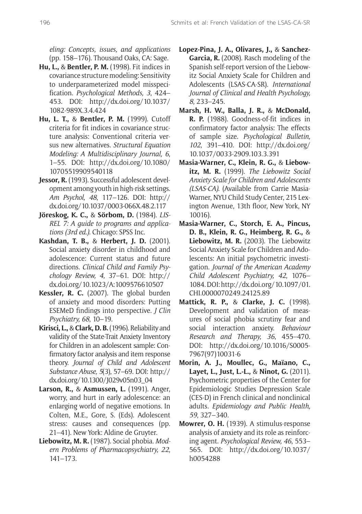*eling: Concepts, issues, and applications* (pp. 158–176). Thousand Oaks, CA: Sage.

- **Hu, L.,** & **Bentler, P. M.** (1998). Fit indices in covariance structure modeling: Sensitivity to underparameterized model misspecification. *Psychological Methods, 3*, 424– 453. DOI: [http://dx.doi.org/10.1037/](http://dx.doi.org/10.1037/1082-989X.3.4.424) [1082-989X.3.4.424](http://dx.doi.org/10.1037/1082-989X.3.4.424)
- **Hu, L. T.,** & **Bentler, P. M.** (1999). Cutoff criteria for fit indices in covariance structure analysis: Conventional criteria versus new alternatives. *Structural Equation Modeling: A Multidisciplinary Journal, 6*, 1–55. DOI: [http://dx.doi.org/10.1080/](http://dx.doi.org/10.1080/10705519909540118) [10705519909540118](http://dx.doi.org/10.1080/10705519909540118)
- Jessor, R. (1993). Successful adolescent development among youth in high-risk settings. *Am Psychol, 48*, 117–126. DOI: [http://](http://dx.doi.org/10.1037/0003-066X.48.2.117) [dx.doi.org/10.1037/0003-066X.48.2.117](http://dx.doi.org/10.1037/0003-066X.48.2.117)
- **Jöreskog, K. C.,** & **Sörbom, D.** (1984). *LIS-REL 7: A guide to programs and applications (3rd ed.)*. Chicago: SPSS Inc.
- **Kashdan, T. B.,** & **Herbert, J. D.** (2001). Social anxiety disorder in childhood and adolescence: Current status and future directions. *Clinical Child and Family Psychology Review, 4*, 37–61. DOI: [http://](http://dx.doi.org/10.1023/A:1009576610507) [dx.doi.org/10.1023/A:1009576610507](http://dx.doi.org/10.1023/A:1009576610507)
- **Kessler, R. C.** (2007). The global burden of anxiety and mood disorders: Putting ESEMeD findings into perspective. *J Clin Psychiatry, 68*, 10–19.
- **Kirisci, L.,** & **Clark, D. B.** (1996). Reliability and validity of the State-Trait Anxiety Inventory for Children in an adolescent sample: Confirmatory factor analysis and item response theory. *Journal of Child and Adolescent Substance Abuse, 5*(3), 57–69. DOI: [http://](http://dx.doi.org/10.1300/J029v05n03_04) [dx.doi.org/10.1300/J029v05n03\\_04](http://dx.doi.org/10.1300/J029v05n03_04)
- **Larson, R.,** & **Asmussen, L.** (1991). Anger, worry, and hurt in early adolescence: an enlarging world of negative emotions. In Colten, M.E., Gore, S. (Eds). Adolescent stress: causes and consequences (pp. 21–41). New York: Aldine de Gruyter.
- **Liebowitz, M. R.** (1987). Social phobia. *Modern Problems of Pharmacopsychiatry, 22*, 141–173.
- **Lopez-Pina, J. A., Olivares, J.,** & **Sanchez-Garcia, R.** (2008). Rasch modeling of the Spanish self-report version of the Liebowitz Social Anxiety Scale for Children and Adolescents (LSAS-CA-SR). *International Journal of Clinical and Health Psychology, 8*, 233–245.
- **Marsh, H. W., Balla, J. R.,** & **McDonald, R. P.** (1988). Goodness-of-fit indices in confirmatory factor analysis: The effects of sample size. *Psychological Bulletin, 102*, 391–410. DOI: [http://dx.doi.org/](http://dx.doi.org/10.1037/0033-2909.103.3.391) [10.1037/0033-2909.103.3.391](http://dx.doi.org/10.1037/0033-2909.103.3.391)
- **Masia-Warner, C., Klein, R. G.,** & **Liebowitz, M. R.** (1999). *The Liebowitz Social Anxiety Scale for Children and Adolescents (LSAS-CA)*. (Available from Carrie Masia-Warner, NYU Child Study Center, 215 Lexington Avenue, 13th floor, New York, NY 10016).
- **Masia-Warner, C., Storch, E. A., Pincus, D. B., Klein, R. G., Heimberg, R. G.,** & **Liebowitz, M. R.** (2003). The Liebowitz Social Anxiety Scale for Children and Adolescents: An initial psychometric investigation. *Journal of the American Academy Child Adolescent Psychiatry, 42*, 1076– 1084. DOI: [http://dx.doi.org/10.1097/01.](http://dx.doi.org/10.1097/01.CHI.0000070249.24125.89) [CHI.0000070249.24125.89](http://dx.doi.org/10.1097/01.CHI.0000070249.24125.89)
- **Mattick, R. P.,** & **Clarke, J. C.** (1998). Development and validation of measures of social phobia scrutiny fear and social interaction anxiety. *Behaviour Research and Therapy, 36*, 455–470. DOI: [http://dx.doi.org/10.1016/S0005-](http://dx.doi.org/10.1016/S0005-7967(97)10031-6) [7967\(97\)10031-6](http://dx.doi.org/10.1016/S0005-7967(97)10031-6)
- **Morin, A. J., Moullec, G., Maïano, C., Layet, L., Just, L.-L.,** & **Ninot, G.** (2011). Psychometric properties of the Center for Epidemiologic Studies Depression Scale (CES-D) in French clinical and nonclinical adults*. Epidemiology and Public Health, 59*, 327–340.
- **Mowrer, O. H.** (1939). A stimulus-response analysis of anxiety and its role as reinforcing agent. *Psychological Review, 46*, 553– 565. DOI: [http://dx.doi.org/10.1037/](http://dx.doi.org/10.1037/h0054288) [h0054288](http://dx.doi.org/10.1037/h0054288)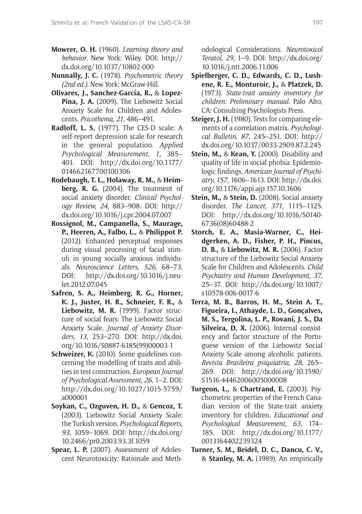- **Mowrer, O. H.** (1960). *Learning theory and behavior*. New York: Wiley. DOI: [http://](http://dx.doi.org/10.1037/10802-000) [dx.doi.org/10.1037/10802-000](http://dx.doi.org/10.1037/10802-000)
- **Nunnally, J. C.** (1978). *Psychometric theory (2nd ed.)*. New York: McGraw-Hill.
- **Olivares, J., Sanchez-Garcia, R.,** & **Lopez-Pina, J. A.** (2009). The Liebowitz Social Anxiety Scale for Children and Adolescents. *Psicothema, 21*, 486–491.
- **Radloff, L. S.** (1977). The CES-D scale: A self-report depression scale for research in the general population. *Applied Psychological Measurement, 1*, 385– 401. DOI: [http://dx.doi.org/10.1177/](http://dx.doi.org/10.1177/014662167700100306) [014662167700100306](http://dx.doi.org/10.1177/014662167700100306)
- **Rodebaugh, T. L., Holaway, R. M.,** & **Heimberg, R. G.** (2004). The treatment of social anxiety disorder. *Clinical Psychology Review, 24*, 883–908. DOI: [http://](http://dx.doi.org/10.1016/j.cpr.2004.07.007) [dx.doi.org/10.1016/j.cpr.2004.07.007](http://dx.doi.org/10.1016/j.cpr.2004.07.007)
- **Rossignol, M., Campanella, S., Maurage, P., Heeren, A., Falbo, L.,** & **Philippot P.** (2012). Enhanced perceptual responses during visual processing of facial stimuli in young socially anxious individuals. *Neuroscience Letters, 526*, 68–73. DOI: [http://dx.doi.org/10.1016/j.neu](http://dx.doi.org/10.1016/j.neulet.2012.07.045)[let.2012.07.045](http://dx.doi.org/10.1016/j.neulet.2012.07.045)
- **Safren, S. A., Heimberg, R. G., Horner, K. J., Juster, H. R., Schneier, F. R.,** & **Liebowitz, M. R.** (1999). Factor structure of social fears: The Liebowitz Social Anxiety Scale. *Journal of Anxiety Disorders, 13*, 253–270. DOI: [http://dx.doi.](http://dx.doi.org/10.1016/S0887-6185(99)00003-1) [org/10.1016/S0887-6185\(99\)00003-1](http://dx.doi.org/10.1016/S0887-6185(99)00003-1)
- **Schweizer, K.** (2010). Some guidelines concerning the modelling of traits and abilities in test construction. *European Journal of Psychological Assessment, 26*, 1–2. DOI: [http://dx.doi.org/10.1027/1015-5759/](http://dx.doi.org/10.1027/1015-5759/a000001) [a000001](http://dx.doi.org/10.1027/1015-5759/a000001)
- **Soykan, C., Ozguven, H. D.,** & **Gencoz, T.** (2003). Liebowitz Social Anxiety Scale: the Turkish version. *Psychological Reports, 93*, 1059–1069. DOI: [http://dx.doi.org/](http://dx.doi.org/10.2466/pr0.2003.93.3f.1059) [10.2466/pr0.2003.93.3f.1059](http://dx.doi.org/10.2466/pr0.2003.93.3f.1059)
- **Spear, L. P.** (2007). Assessment of Adolescent Neurotoxicity: Rationale and Meth-

odological Considerations. *Neurotoxicol Teratol, 29*, 1–9. DOI: [http://dx.doi.org/](http://dx.doi.org/10.1016/j.ntt.2006.11.006) [10.1016/j.ntt.2006.11.006](http://dx.doi.org/10.1016/j.ntt.2006.11.006)

- **Spielberger, C. D., Edwards, C. D., Lushene, R. E., Monturoir, J.,** & **Platzek, D.** (1973). *State-trait anxiety inventory for children: Preliminary manual*. Palo Alto, CA: Consulting Psychologists Press.
- **Steiger, J. H.** (1980). Tests for comparing elements of a correlation matrix. *Psychological Bulletin, 87*, 245–251. DOI: [http://](http://dx.doi.org/10.1037/0033-2909.87.2.245) [dx.doi.org/10.1037/0033-2909.87.2.245](http://dx.doi.org/10.1037/0033-2909.87.2.245)
- **Stein, M.,** & **Kean, Y.** (2000). Disability and quality of life in social phobia: Epidemiologic findings. *American Journal of Psychiatry, 157*, 1606–1613. DOI: [http://dx.doi.](http://dx.doi.org/10.1176/appi.ajp.157.10.1606) [org/10.1176/appi.ajp.157.10.1606](http://dx.doi.org/10.1176/appi.ajp.157.10.1606)
- **Stein, M.,** & **Stein, D.** (2008). Social anxiety disorder. *The Lancet, 371*, 1115–1125. DOI: [http://dx.doi.org/10.1016/S0140-](http://dx.doi.org/10.1016/S0140-6736(08)60488-2) [6736\(08\)60488-2](http://dx.doi.org/10.1016/S0140-6736(08)60488-2)
- **Storch, E. A., Masia-Warner, C., Heidgerken, A. D., Fisher, P. H., Pincus, D. B.,** & **Liebowitz, M. R.** (2006). Factor structure of the Liebowitz Social Anxiety Scale for Children and Adolescents. *Child Psychiatry and Human Development, 37*, 25–37. DOI: [http://dx.doi.org/10.1007/](http://dx.doi.org/10.1007/s10578-006-0017-6) [s10578-006-0017-6](http://dx.doi.org/10.1007/s10578-006-0017-6)
- **Terra, M. B., Barros, H. M., Stein A. T., Figueira, I., Athayde, L. D., Gonçalves, M. S., Tergolina, L. P., Rovani, J. S., Da Silveira, D. X.** (2006). Internal consistency and factor structure of the Portuguese version of the Liebowitz Social Anxiety Scale among alcoholic patients. *Revista Brasileira psiquiatria, 28*, 265– 269. DOI: [http://dx.doi.org/10.1590/](http://dx.doi.org/10.1590/S1516-44462006005000008) [S1516-44462006005000008](http://dx.doi.org/10.1590/S1516-44462006005000008)
- **Turgeon, L.,** & **Chartrand, E.** (2003). Psychometric properties of the French Canadian version of the State-trait anxiety inventory for children. *Educational and Psychological Measurement, 63*, 174– 185. DOI: [http://dx.doi.org/10.1177/](http://dx.doi.org/10.1177/0013164402239324) [0013164402239324](http://dx.doi.org/10.1177/0013164402239324)
- **Turner, S. M., Beidel, D. C., Dancu, C. V.,** & **Stanley, M. A.** (1989). An empirically